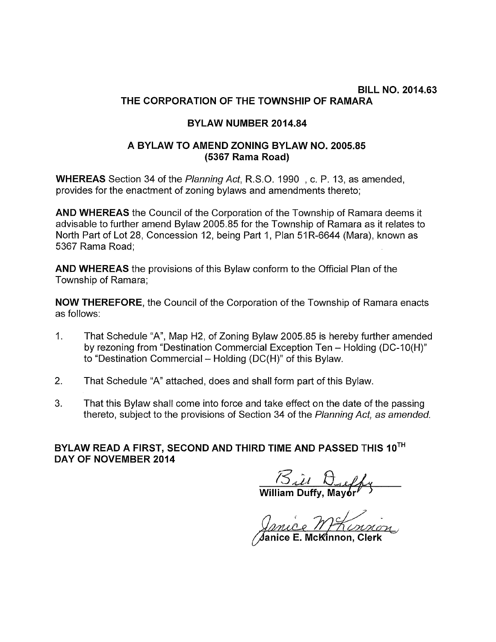## BILL NO. 2014.63 THE CORPORATION OF THE TOWNSHIP OF RAMARA

## BYLAW NUMBER 2014.84

## A BYLAW TO AMEND ZONING BYLAW NO. 2005.85 (5367 Rama Road)

WHEREAS Section 34 of the Planning Act, R.S.O. 1990 , c. P. 13, as amended, provides for the enactment of zoning bylaws and amendments thereto;

AND WHEREAS the Council of the Corporation of the Township of Ramara deems it advisable to further amend Bylaw 2005.85 for the Township of Ramara as it relates to North Part of Lot 28, Concession 12, being Part 1, Plan 51R-6644 (Mara), known as 5367 Rama Road;

AND WHEREAS the provisions of this Bylaw conform to the Official Plan of the Township of Ramara;

NOW THEREFORE, the Council of the Corporation of the Township of Ramara enacts as follows:

- 1. That Schedule "A", Map H2, of Zoning Bylaw 2005.85 is hereby further amended by rezoning from "Destination Commercial Exception Ten - Holding (DC-10(H)" to "Destination Commercial — Holding (DC(H)" of this Bylaw.
- 2. That Schedule "A" attached, does and shall form part of this Bylaw.
- 3. That this Bylaw shall come into force and take effect on the date of the passing thereto, subject to the provisions of Section 34 of the Planning Act, as amended.

BYLAW READ A FIRST, SECOND AND THIRD TIME AND PASSED THIS 10TH DAY OF NOVEMBER 2014

 $\frac{1}{\sqrt{2}}\frac{1}{\sqrt{2}}$  William Duffy, Mayor

4anice E. McKinnon, Clerk